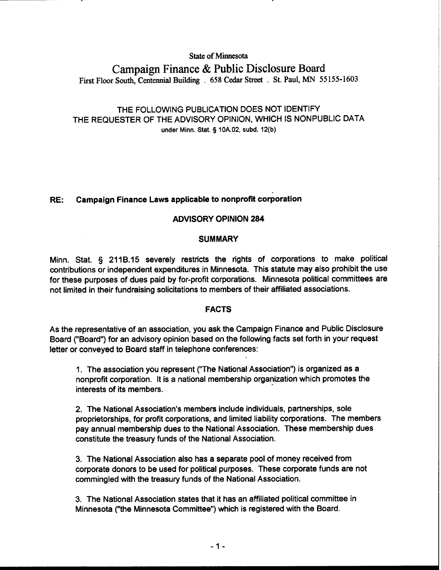## **State of Minnesota**

# **Campaign Finance** & **Public Disclosure Board First Floor South, Centennial Building** . **658 Cedar Street** . **St. Paul, MN 55 155-1603**

# THE FOLLOWING PUBLICATION DOES NOT IDENTIFY THE REQUESTER OF THE ADVISORY OPINION, WHICH IS NONPUBLIC DATA **under Minn.** Stat. § **10A.02, subd. 12(b)**

# RE: Campaign Finance Laws applicable to nonprofit corporation

## ADVISORY OPINION 284

#### **SUMMARY**

Minn. Stat. **5** 211B.15 severely restricts the rights of corporations to make political contributions or independent expenditures in Minnesota. This statute may also prohibit the use for these purposes of dues paid by for-profit corporations. Minnesota political committees are not limited in their fundraising solicitations to members of their affiliated associations.

#### FACTS

As the representative of an association, you ask the Campaign Finance and Public Disclosure Board ("Board") for an advisory opinion based on the following facts set forth in your request letter or conveyed to Board staff in telephone conferences:

1. The association you represent ("The National Association") is organized as a nonprofit corporation. It is a national membership organization which promotes the interests of its members.

2. The National Association's members include individuals, partnerships, sole proprietorships, for profit corporations, and limited liability corporations. The members pay annual membership dues to the National Association. These membership dues constitute the treasury funds of the National Association.

3. The National Association also has a separate pool of money received from corporate donors to be used for political purposes. These corporate funds are not commingled with the treasury funds of the National Association.

3. The National Association states that it has an affiliated political committee in Minnesota ("the Minnesota Committee") which is registered with the Board.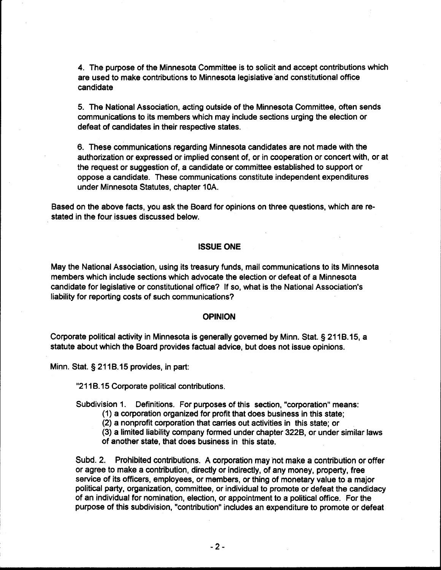4. The purpose of the Minnesota Committee is to solicit and accept contributions which are used to make contributions to Minnesota legislative'and constitutional office candidate

5. The National Association, acting outside of the Minnesota Committee, often sends communications to its members which may include sections urging the election or defeat of candidates in their respective states.

6. These communications regarding Minnesota candidates are not made with the authorization or expressed or implied consent of, or in cooperation or concert with, or at the request or suggestion of, a candidate or committee established to support or oppose a candidate. These communications constitute independent expenditures under Minnesota Statutes, chapter 10A.

Based on the above facts, you ask the Board for opinions on three questions, which are restated in the four issues discussed below.

#### **ISSUE ONE**

May the National Association, using its treasury funds, mail communications to its Minnesota members which include sections which advocate the election or defeat of a Minnesota candidate for legislative or constitutional office? If so, what is the National Association's liability for reporting costs of such communications?

#### **OPINION**

Corporate political activity in Minnesota is generally governed by Minn. Stat. § 211B.15, a statute about which the Board provides factual advice, but does not issue opinions.

Minn. Stat.  $\S$  211B.15 provides, in part:

"211B.15 Corporate political contributions.

Subdivision 1. Definitions. For purposes of this section, "corporation" means:

- (1) a corporation organized for profit that does business in this state;
- (2) a nonprofit corporation that canies out activities in this state; or

(3) a limited liability company formed under chapter 322B, or under similar laws of another state, that does business in this state.

Subd. 2. Prohibited contributions. A corporation may not make a contribution or offer or agree to make a contribution, directly or indirectly, of any money, property, free service of its officers, employees, or members, or thing of monetary value to a major political party, organization, committee, or individual to promote or defeat the candidacy of an individual for nomination, election, or appointment to a political office. For the purpose of this subdivision, "contribution" includes an expenditure to promote or defeat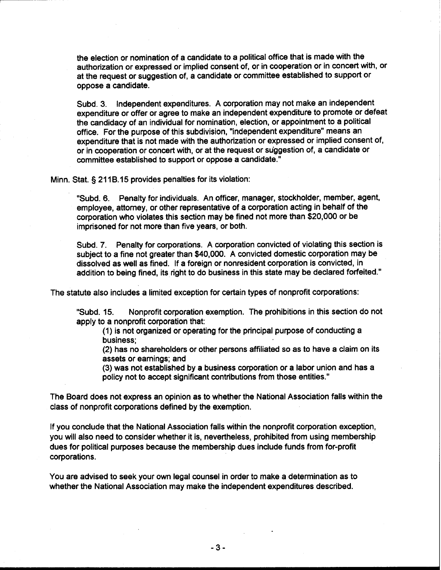the election or nomination of a candidate to a political office that is made with the authorization or expressed or implied consent of, or in cooperation or in concert with, or at the request or suggestion of, a candidate or committee established to support or oppose a candidate.

Subd. 3. Independent expenditures. A corporation may not make an independent expenditure or offer or agree to make an independent expenditure to promote or defeat the candidacy of an individual for nomination, election, or appointment to a political office. For the purpose of this subdivision, "independent expenditure" means an expenditure that is not made with the authorization or expressed or implied consent of, or in cooperation or concert with, or at the request or suggestion of, a candidate or committee established to support or oppose a candidate."

Minn. Stat. § 211B.15 provides penalties for its violation:

"Subd. 6. Penalty for individuals. An officer, manager, stockholder, member, agent, employee, attorney, or other representative of a corporation acting in behalf of the corporation who violates this section may be fined not more than \$20,000 or be imprisoned for not more than five years, or both.

Subd. 7. Penalty for corporations. A corporation convicted of violating this section is subject to a fine not greater than \$40,000. A convicted domestic corporation may be dissolved as well as fined. If a foreign or nonresident corporation is convicted, in addition to being fined, its right to do business in this state may be declared forfeited."

The statute also includes a limited exception for certain types of nonprofit corporations:

"Subd. 15. Nonprofit corporation exemption. The prohibitions in this section do not apply to a nonprofit corporation that:

(1) is not organized or operating for the principal purpose of conducting a business;

(2) has no shareholders or other persons affiliated so as to have a claim on its assets or earnings; and

(3) was not established by a business corporation or a labor union and has a policy not to accept significant contributions from those entities."

The Board does not express an opinion as to whether the National Association falls within the class of nonprofit corporations defined by the exemption.

If you conclude that the National Association falls within the nonprofit corporation exception, you will also need to consider whether it is, nevertheless, prohibited from using membership dues for political purposes because the membership dues include funds from for-profit corporations.

You are advised to seek your own legal counsel in order to make a determination as to whether the National Association may make the independent expenditures described.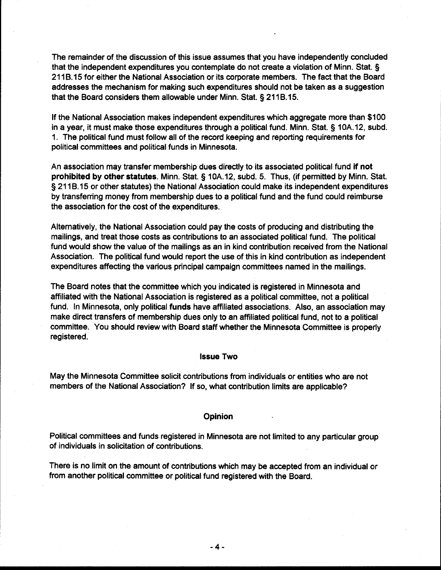The remainder of the discussion of this issue assumes that you have independently concluded that the independent expenditures you contemplate do not create a violation of Minn. Stat. § 211B.15 for either the National Association or its corporate members. The fact that the Board addresses the mechanism for making such expenditures should not be taken as a suggestion that the Board considers them allowable under Minn. Stat. § 211B.15.

If the National Association makes independent expenditures which aggregate more than \$1 00 in a year, it must make those expenditures through a political fund. Minn. Stat. **3** 10A.12, subd. 1. The political fund must follow all of the record keeping and reporting requirements for political committees and political funds in Minnesota.

An association may transfer membership dues directly to its associated political fund if not prohibited by other statutes. Minn. Stat. § 10A.12, subd. 5. Thus, (if permitted by Minn. Stat. § 211B.15 or other statutes) the National Association could make its independent expenditures by transferring money from membership dues to a political fund and the fund could reimburse the association for the cost of the expenditures.

Alternatively, the National Association could pay the costs of producing and distributing the mailings, and treat those costs as contributions to an associated political fund. The political fund would show the value of the mailings as an in kind contribution received from the National Association. The political fund would report the use of this in kind contribution as independent expenditures affecting the various principal campaign committees named in the mailings.

The Board notes that the committee which you indicated is registered in Minnesota and affiliated with the National Association is registered as a political committee, not a political fund. In Minnesota, only political funds have affiliated associations. Also, an association may make direct transfers of membership dues only to an affiliated political fund, not to a political committee. You should review with Board staff whether the Minnesota Committee is properly registered.

#### Issue Two

May the Minnesota Committee solicit contributions from individuals or entities who are not members of the National Association? If so, what contribution limits are applicable?

# is a contract of the contract of the contract of the contract of the contract of the contract of the contract <br>In the contract of the contract of the contract of the contract of the contract of the contract of the contract

Political committees and funds registered in Minnesota are not limited to any particular group of individuals in solicitation of contributions.

There is no limit on the amount of contributions which may be accepted from an individual or from another political committee or political fund registered with the Board.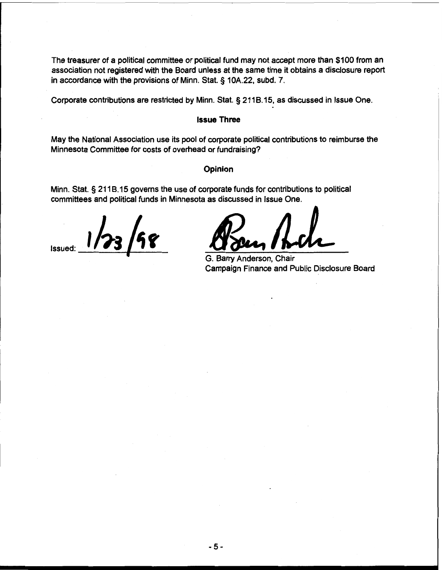The treasurer of a political committee or political fund may not accept more than \$100 from an association not registered with the Board unless at the same time it obtains a disclosure report in accordance with the provisions of Minn. Stat. § 10A.22, subd. 7.

Corporate contributions are restricted by Minn. Stat. § 21 18.15, as discussed in lssue One.

#### **lssue Three**

May the National Association use its pool of corporate political contributions to reimburse the Minnesota Committee for costs of overhead or fundraising?

#### **Opinion**

Minn. Stat. § 211B.15 governs the use of corporate funds for contributions to political committees and political funds in Minnesota as discussed in lssue One.

 $1/23/58$ 

Depinion<br>
S. Barry Anderson, Chair<br>
Campaign Finance and Public Disclosure Board<br>
Campaign Finance and Public Disclosure Board

Campaign Finance and Public Disclosure Board